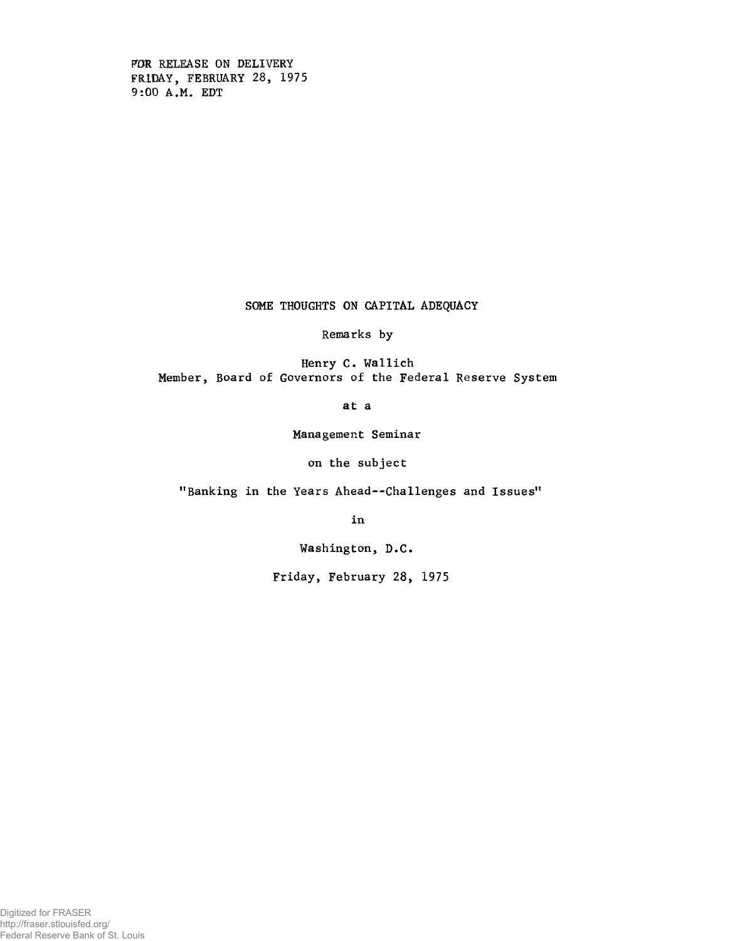FDR RELEASE ON DELIVERY FRIDAY, FEBRUARY 28, 1975 9:00 A.M. EDT

## SOME THOUGHTS ON CAPITAL ADEQUACY

Remarks by

Henry C. Wallich Member, Board of Governors of the Federal Reserve System

at a

Management Seminar

on the subject

"Banking in the Years Ahead--Challenges and Issues"

in

Washington, D.C.

Friday, February 28, 1975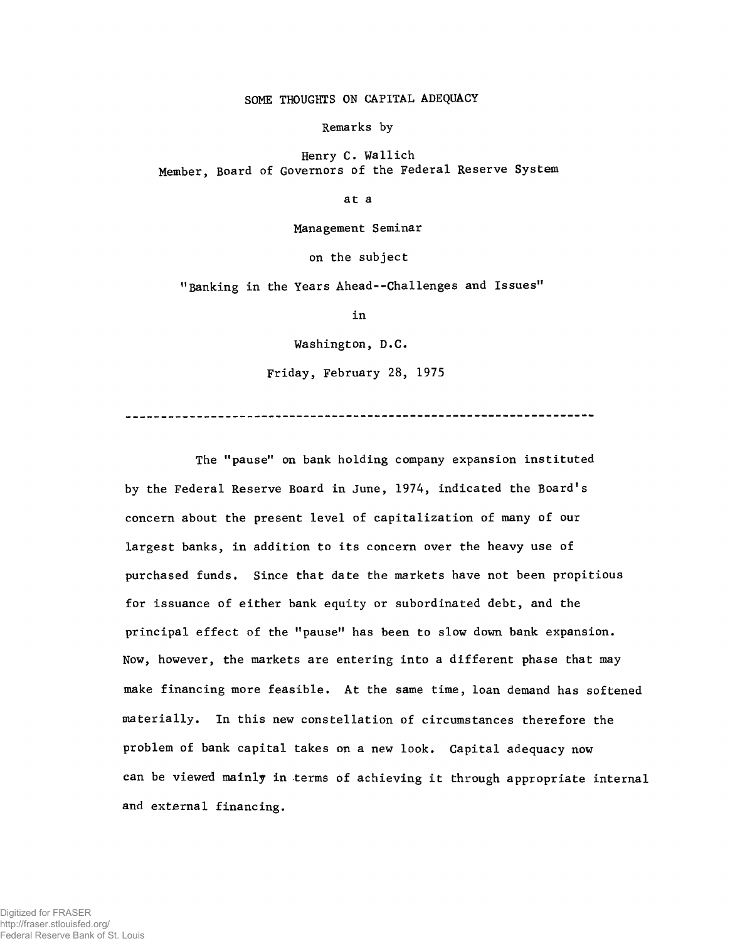## SOME THOUGHTS ON CAPITAL ADEQUACY

Remarks by

Henry C. Wallich Member, Board of Governors of the Federal Reserve System

at a

Management Seminar

on the subject

"Banking in the Years Ahead--Challenges and Issues"

in

Washington, D.C.

Friday, February 28, 1975

The "pause" on bank holding company expansion instituted by the Federal Reserve Board in June, 1974, indicated the Board's concern about the present level of capitalization of many of our largest banks, in addition to its concern over the heavy use of purchased funds. Since that date the markets have not been propitious for issuance of either bank equity or subordinated debt, and the principal effect of the "pause" has been to slow down bank expansion. Now, however, the markets are entering into a different phase that may make financing more feasible. At the same time, loan demand has softened materially. In this new constellation of circumstances therefore the problem of bank capital takes on a new look. Capital adequacy now can be viewed mainly in terms of achieving it through appropriate internal and external financing.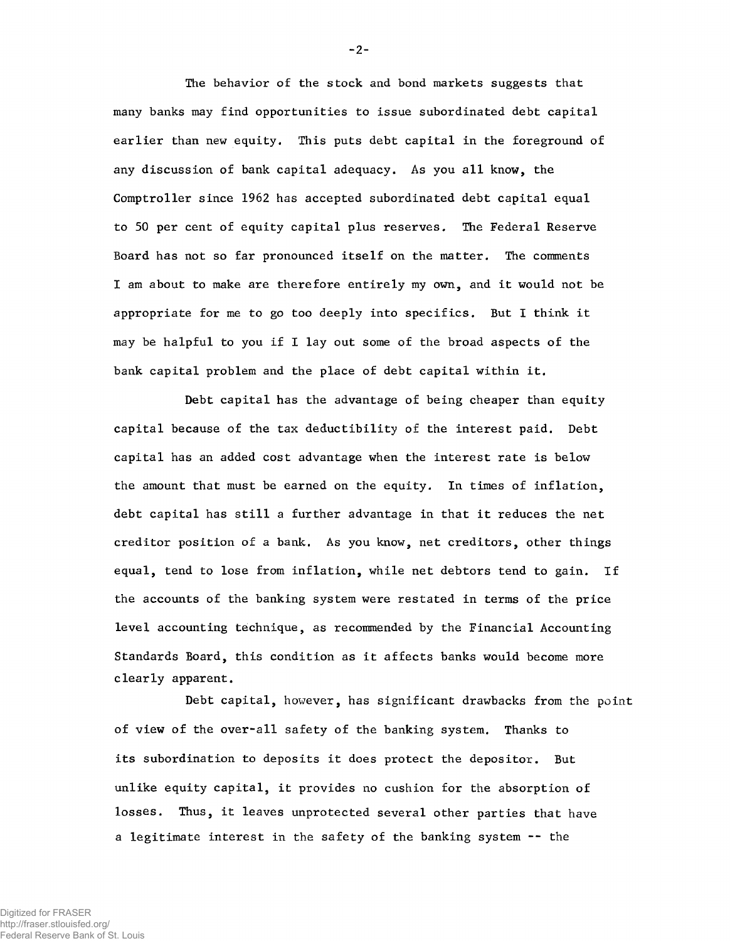The behavior of the stock and bond markets suggests that many banks may find opportunities to issue subordinated debt capital earlier than new equity. This puts debt capital in the foreground of any discussion of bank capital adequacy. As you all know, the Comptroller since 1962 has accepted subordinated debt capital equal to 50 per cent of equity capital plus reserves. The Federal Reserve Board has not so far pronounced itself on the matter. The comments I am about to make are therefore entirely my own, and it would not be appropriate for me to go too deeply into specifics. But I think it may be halpful to you if I lay out some of the broad aspects of the bank capital problem and the place of debt capital within it.

Debt capital has the advantage of being cheaper than equity capital because of the tax deductibility of the interest paid. Debt capital has an added cost advantage when the interest rate is below the amount that must be earned on the equity. In times of inflation, debt capital has still a further advantage in that it reduces the net creditor position of a bank. As you know, net creditors, other things equal, tend to lose from inflation, while net debtors tend to gain. If the accounts of the banking system were restated in terms of the price level accounting technique, as recommended by the Financial Accounting Standards Board, this condition as it affects banks would become more clearly apparent.

Debt capital, however, has significant drawbacks from the point of view of the over-all safety of the banking system. Thanks to its subordination to deposits it does protect the depositor. But unlike equity capital, it provides no cushion for the absorption of losses. Thus, it leaves unprotected several other parties that have a legitimate interest in the safety of the banking system -- the

- **2**-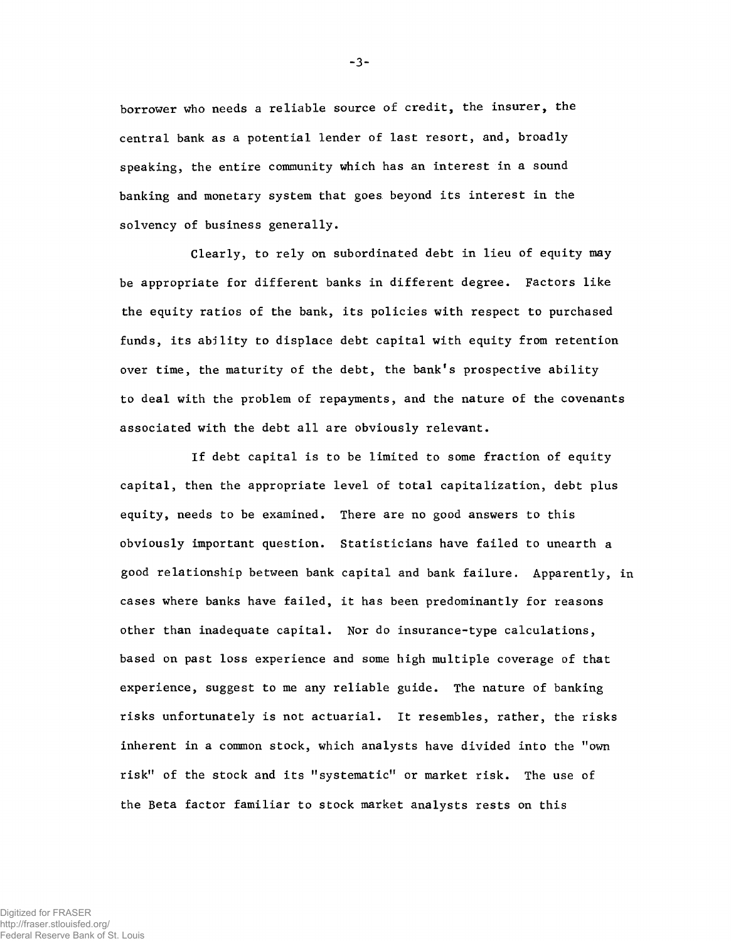borrower who needs a reliable source of credit, the insurer, the central bank as a potential lender of last resort, and, broadly speaking, the entire community which has an interest in a sound banking and monetary system that goes beyond its interest in the solvency of business generally.

Clearly, to rely on subordinated debt in lieu of equity may be appropriate for different banks in different degree. Factors like the equity ratios of the bank, its policies with respect to purchased funds, its ability to displace debt capital with equity from retention over time, the maturity of the debt, the bank's prospective ability to deal with the problem of repayments, and the nature of the covenants associated with the debt all are obviously relevant.

If debt capital is to be limited to some fraction of equity capital, then the appropriate level of total capitalization, debt plus equity, needs to be examined. There are no good answers to this obviously important question. Statisticians have failed to unearth a good relationship between bank capital and bank failure. Apparently, in cases where banks have failed, it has been predominantly for reasons other than inadequate capital. Nor do insurance-type calculations, based on past loss experience and some high multiple coverage of that experience, suggest to me any reliable guide. The nature of banking risks unfortunately is not actuarial. It resembles, rather, the risks inherent in a common stock, which analysts have divided into the "own risk" of the stock and its "systematic" or market risk. The use of the Beta factor familiar to stock market analysts rests on this

Digitized for FRASER http://fraser.stlouisfed.org/ Federal Reserve Bank of St. Louis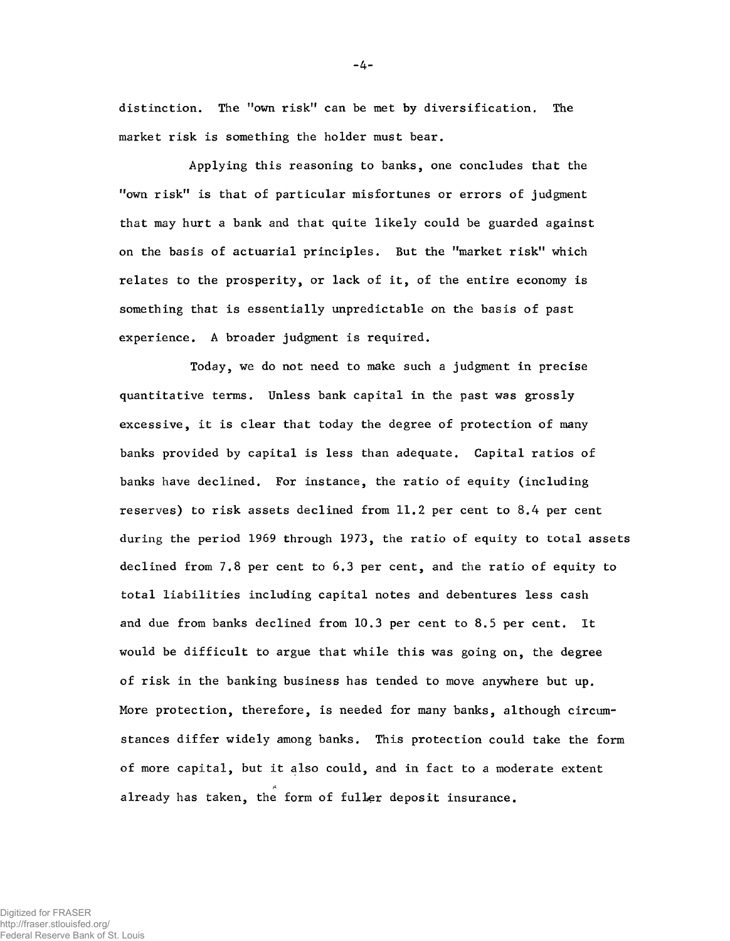distinction. The "own risk" can be met by diversification. The market risk is something the holder must bear.

Applying this reasoning to banks, one concludes that the "own risk" is that of particular misfortunes or errors of judgment that may hurt a bank and that quite likely could be guarded against on the basis of actuarial principles. But the "market risk" which relates to the prosperity, or lack of it, of the entire economy is something that is essentially unpredictable on the basis of past experience. A broader judgment is required.

Today, we do not need to make such a judgment in precise quantitative terms. Unless bank capital in the past was grossly excessive, it is clear that today the degree of protection of many banks provided by capital is less than adequate. Capital ratios of banks have declined. For instance, the ratio of equity (including reserves) to risk assets declined from 11.2 per cent to 8.4 per cent during the period 1969 through 1973, the ratio of equity to total assets declined from 7.8 per cent to 6.3 per cent, and the ratio of equity to total liabilities including capital notes and debentures less cash and due from banks declined from 10.3 per cent to 8.5 per cent. It would be difficult to argue that while this was going on, the degree of risk in the banking business has tended to move anywhere but up. More protection, therefore, is needed for many banks, although circumstances differ widely among banks. This protection could take the form of more capital, but it also could, and in fact to a moderate extent already has taken, the form of fuller deposit insurance.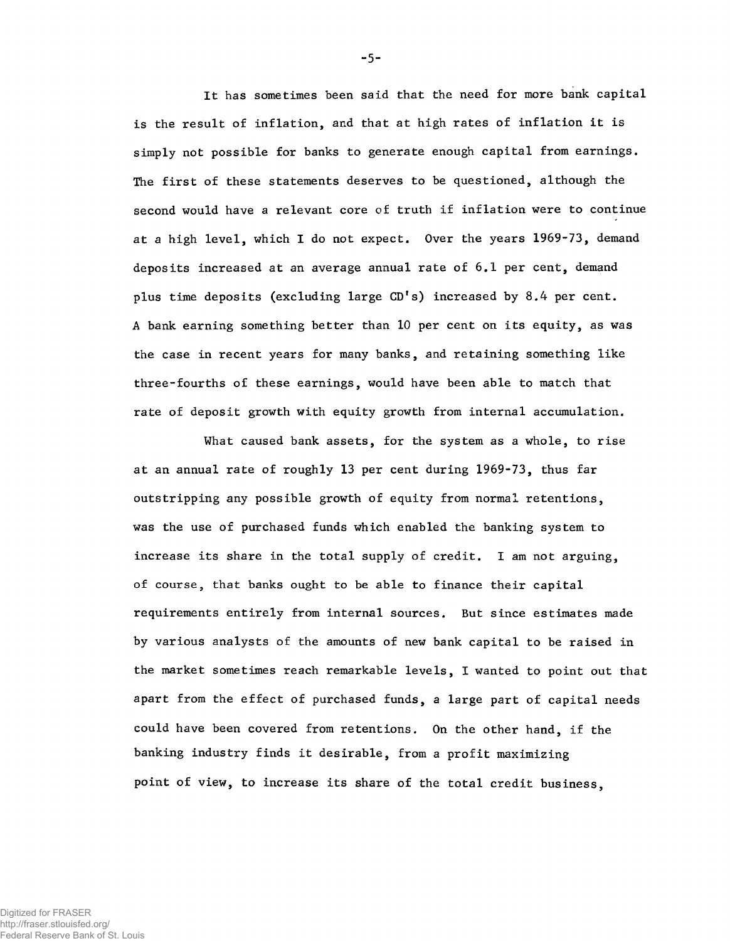It has sometimes been said that the need for more bank capital is the result of inflation, and that at high rates of inflation it is simply not possible for banks to generate enough capital from earnings. The first of these statements deserves to be questioned, although the second would have a relevant core of truth if inflation were to continue at a high level, which I do not expect. Over the years 1969-73, demand deposits increased at an average annual rate of 6.1 per cent, demand plus time deposits (excluding large CD's) increased by 8.4 per cent. A bank earning something better than 10 per cent on its equity, as was the case in recent years for many banks, and retaining something like three-fourths of these earnings, would have been able to match that rate of deposit growth with equity growth from internal accumulation.

What caused bank assets, for the system as a whole, to rise at an annual rate of roughly 13 per cent during 1969-73, thus far outstripping any possible growth of equity from normal retentions, was the use of purchased funds which enabled the banking system to increase its share in the total supply of credit. I am not arguing, of course, that banks ought to be able to finance their capital requirements entirely from internal sources. But since estimates made by various analysts of the amounts of new bank capital to be raised in the market sometimes reach remarkable levels, I wanted to point out that apart from the effect of purchased funds, a large part of capital needs could have been covered from retentions. On the other hand, if the banking industry finds it desirable, from a profit maximizing point of view, to increase its share of the total credit business,

 $-5-$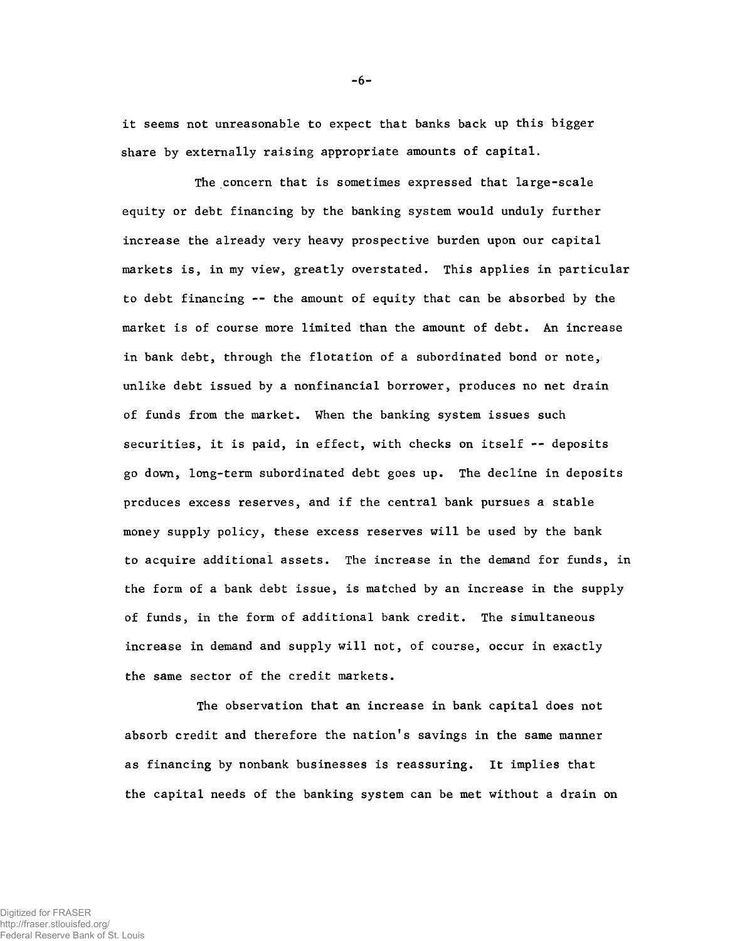it seems not unreasonable to expect that banks back up this bigger share by externally raising appropriate amounts of capital.

The concern that is sometimes expressed that large-scale equity or debt financing by the banking system would unduly further increase the already very heavy prospective burden upon our capital markets is, in my view, greatly overstated. This applies in particular to debt financing -- the amount of equity that can be absorbed by the market is of course more limited than the amount of debt. An increase in bank debt, through the flotation of a subordinated bond or note, unlike debt issued by a nonfinancial borrower, produces no net drain of funds from the market. When the banking system issues such securities, it is paid, in effect, with checks on itself -- deposits go down, long-term subordinated debt goes up. The decline in deposits produces excess reserves, and if the central bank pursues a stable money supply policy, these excess reserves will be used by the bank to acquire additional assets. The increase in the demand for funds, in the form of a bank debt issue, is matched by an increase in the supply of funds, in the form of additional bank credit. The simultaneous increase in demand and supply will not, of course, occur in exactly the same sector of the credit markets.

The observation that an increase in bank capital does not absorb credit and therefore the nation's savings in the same manner as financing by nonbank businesses is reassuring. It implies that the capital needs of the banking system can be met without a drain on

Digitized for FRASER http://fraser.stlouisfed.org/ Federal Reserve Bank of St. Louis  $-6-$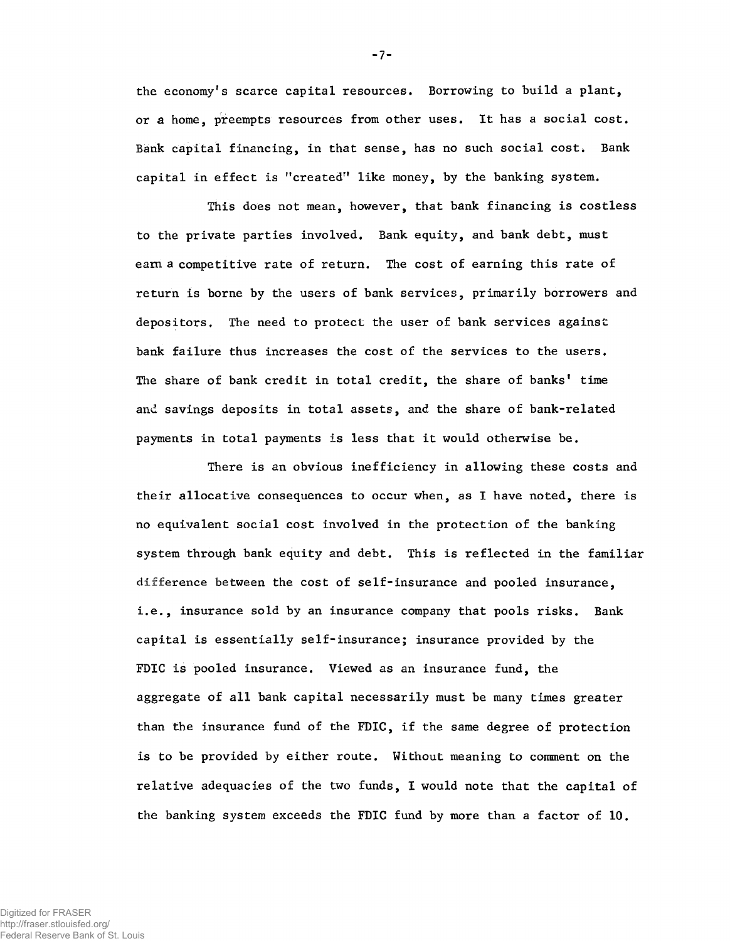the economy's scarce capital resources. Borrowing to build a plant, or a home, preempts resources from other uses. It has a social cost. Bank capital financing, in that sense, has no such social cost. Bank capital in effect is "created" like money, by the banking system.

This does not mean, however, that bank financing is costless to the private parties involved. Bank equity, and bank debt, must earn a competitive rate of return. The cost of earning this rate of return is borne by the users of bank services, primarily borrowers and depositors. The need to protect the user of bank services against bank failure thus increases the cost of the services to the users. The share of bank credit in total credit, the share of banks' time and savings deposits in total assets, and the share of bank-related payments in total payments is less that it would otherwise be.

There is an obvious inefficiency in allowing these costs and their allocative consequences to occur when, as I have noted, there is no equivalent social cost involved in the protection of the banking system through bank equity and debt. This is reflected in the familiar difference between the cost of self-insurance and pooled insurance, i.e., insurance sold by an insurance company that pools risks. Bank capital is essentially self-insurance; insurance provided by the FDIC is pooled insurance. Viewed as an insurance fund, the aggregate of all bank capital necessarily must be many times greater than the insurance fund of the FDIC, if the same degree of protection is to be provided by either route. Without meaning to comment on the relative adequacies of the two funds, I would note that the capital of the banking system exceeds the FDIC fund by more than a factor of 10.

 $-7-$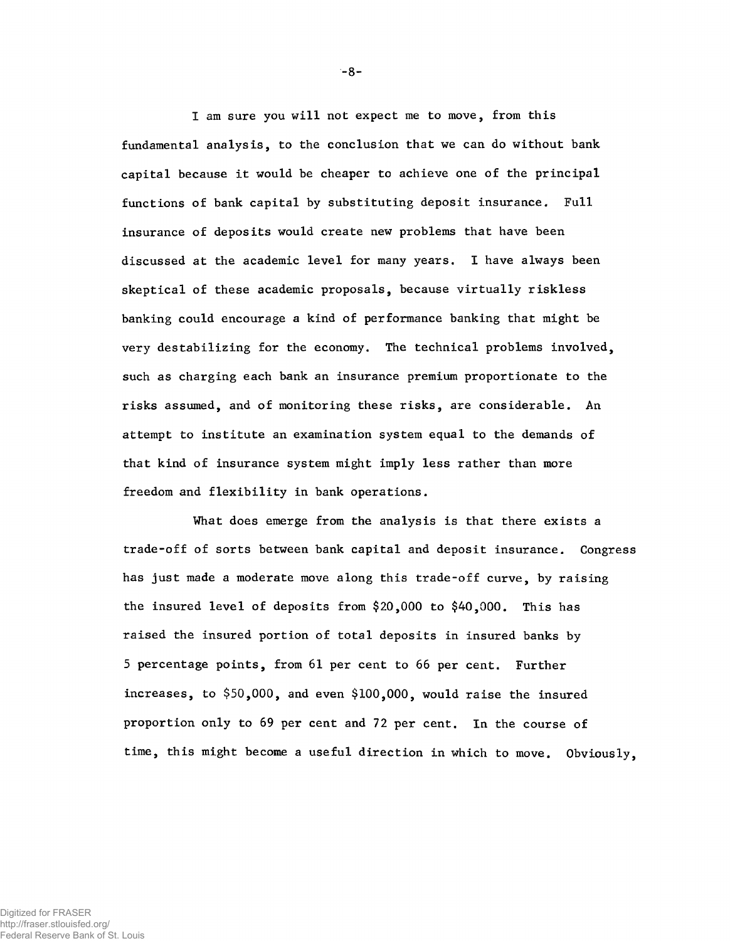I am sure you will not expect me to move, from this fundamental analysis, to the conclusion that we can do without bank capital because it would be cheaper to achieve one of the principal functions of bank capital by substituting deposit insurance. Full insurance of deposits would create new problems that have been discussed at the academic level for many years. I have always been skeptical of these academic proposals, because virtually riskless banking could encourage a kind of performance banking that might be very destabilizing for the economy. The technical problems involved, such as charging each bank an insurance premium proportionate to the risks assumed, and of monitoring these risks, are considerable. An attempt to institute an examination system equal to the demands of that kind of insurance system might imply less rather than more freedom and flexibility in bank operations.

What does emerge from the analysis is that there exists a trade-off of sorts between bank capital and deposit insurance. Congress has just made a moderate move along this trade-off curve, by raising the insured level of deposits from \$20,000 to \$40,000. This has raised the insured portion of total deposits in insured banks by 5 percentage points, from 61 per cent to 66 per cent. Further increases, to \$50,000, and even \$100,000, would raise the insured proportion only to 69 per cent and 72 per cent. In the course of time, this might become a useful direction in which to move. Obviously,

 $-8-$